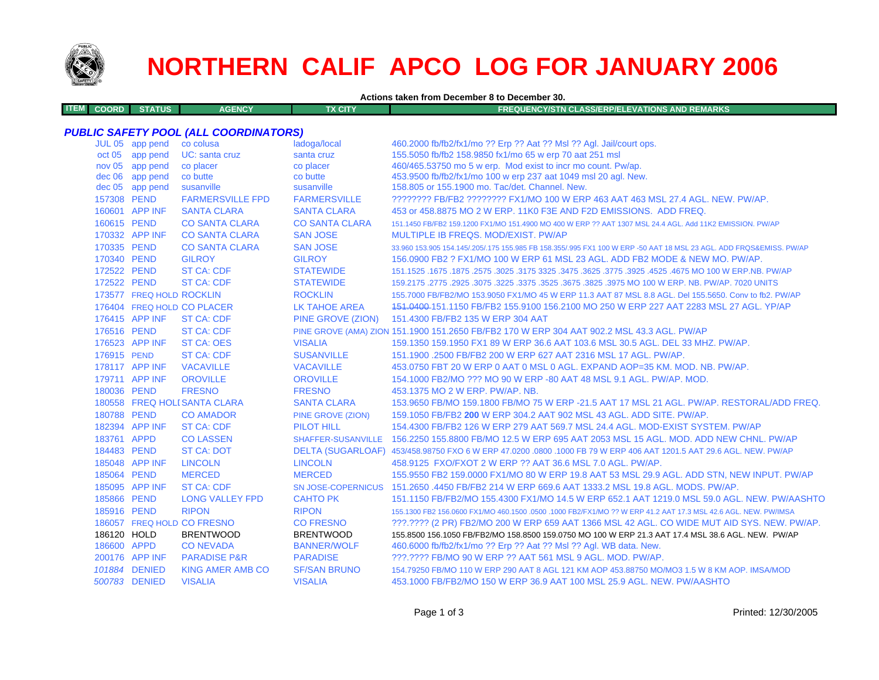

## **NORTHERN CALIF APCO LOG FOR JANUARY 2006**

**Actions taken from December 8 to December 30.**

| . et 11 | COORD | <b>STATUS</b> | CENICY<br>аст<br>$-$ | <b>X CITY</b> | TN CLASS/ERP/ELEVATIONS AND REMARKS<br><b>AFOUENCY</b> |
|---------|-------|---------------|----------------------|---------------|--------------------------------------------------------|
|         |       |               |                      |               |                                                        |

## *PUBLIC SAFETY POOL (ALL COORDINATORS)*

|             | JUL 05 app pend          | co colusa                    | ladoga/local              | 460.2000 fb/fb2/fx1/mo ?? Erp ?? Aat ?? Msl ?? Agl. Jail/court ops.                                                 |
|-------------|--------------------------|------------------------------|---------------------------|---------------------------------------------------------------------------------------------------------------------|
|             | oct 05 app pend          | UC: santa cruz               | santa cruz                | 155.5050 fb/fb2 158.9850 fx1/mo 65 w erp 70 aat 251 msl                                                             |
|             | nov 05 app pend          | co placer                    | co placer                 | 460/465.53750 mo 5 w erp. Mod exist to incr mo count. Pw/ap.                                                        |
|             | dec 06 app pend          | co butte                     | co butte                  | 453.9500 fb/fb2/fx1/mo 100 w erp 237 aat 1049 msl 20 agl. New.                                                      |
|             | dec 05 app pend          | susanville                   | susanville                | 158.805 or 155.1900 mo. Tac/det. Channel. New.                                                                      |
| 157308 PEND |                          | <b>FARMERSVILLE FPD</b>      | <b>FARMERSVILLE</b>       | ???????? FB/FB2 ???????? FX1/MO 100 W ERP 463 AAT 463 MSL 27.4 AGL. NEW. PW/AP.                                     |
|             | 160601 APP INF           | <b>SANTA CLARA</b>           | <b>SANTA CLARA</b>        | 453 or 458,8875 MO 2 W ERP, 11K0 F3E AND F2D EMISSIONS. ADD FREQ.                                                   |
| 160615 PEND |                          | <b>CO SANTA CLARA</b>        | <b>CO SANTA CLARA</b>     | 151.1450 FB/FB2 159.1200 FX1/MO 151.4900 MO 400 W ERP ?? AAT 1307 MSL 24.4 AGL. Add 11K2 EMISSION. PW/AP            |
|             | 170332 APP INF           | <b>CO SANTA CLARA</b>        | <b>SAN JOSE</b>           | MULTIPLE IB FREQS, MOD/EXIST, PW/AP                                                                                 |
| 170335 PEND |                          | <b>CO SANTA CLARA</b>        | <b>SAN JOSE</b>           | 33.960 153.905 154.145/.205/.175 155.985 FB 158.355/.995 FX1 100 W ERP -50 AAT 18 MSL 23 AGL. ADD FRQS&EMISS. PW/AP |
| 170340 PEND |                          | <b>GILROY</b>                | <b>GILROY</b>             | 156,0900 FB2 ? FX1/MO 100 W ERP 61 MSL 23 AGL, ADD FB2 MODE & NEW MO, PW/AP.                                        |
| 172522 PEND |                          | <b>ST CA: CDF</b>            | <b>STATEWIDE</b>          | 151.1525 .1675 .1675 .3025 .3775 .3925 .3775 .3925 .3775 .3925 .4525 .4675 .00 W ERP.NB. PW/AP                      |
| 172522 PEND |                          | <b>ST CA: CDF</b>            | <b>STATEWIDE</b>          | 159.2175 .2775 .2925 .3075 .3225 .3375 .3525 .3675 .3825 .3975 MO 100 W ERP. NB. PW/AP. 7020 UNITS                  |
|             | 173577 FREQ HOLD ROCKLIN |                              | <b>ROCKLIN</b>            | 155.7000 FB/FB2/MO 153.9050 FX1/MO 45 W ERP 11.3 AAT 87 MSL 8.8 AGL. Del 155.5650. Conv to fb2. PW/AP               |
|             |                          | 176404 FREQ HOLD CO PLACER   | LK TAHOE AREA             | 151,0400-151,1150 FB/FB2 155,9100 156,2100 MO 250 W ERP 227 AAT 2283 MSL 27 AGL, YP/AP                              |
|             | 176415 APP INF           | <b>ST CA: CDF</b>            | PINE GROVE (ZION)         | 151.4300 FB/FB2 135 W ERP 304 AAT                                                                                   |
| 176516 PEND |                          | <b>ST CA: CDF</b>            |                           | PINE GROVE (AMA) ZION 151.1900 151.2650 FB/FB2 170 W ERP 304 AAT 902.2 MSL 43.3 AGL. PW/AP                          |
|             | 176523 APP INF           | <b>ST CA: OES</b>            | <b>VISALIA</b>            | 159.1350 159.1950 FX1 89 W ERP 36.6 AAT 103.6 MSL 30.5 AGL, DEL 33 MHZ, PW/AP.                                      |
| 176915 PEND |                          | <b>ST CA: CDF</b>            | <b>SUSANVILLE</b>         | 151.1900 .2500 FB/FB2 200 W ERP 627 AAT 2316 MSL 17 AGL, PW/AP.                                                     |
|             | 178117 APP INF           | <b>VACAVILLE</b>             | <b>VACAVILLE</b>          | 453.0750 FBT 20 W ERP 0 AAT 0 MSL 0 AGL, EXPAND AOP=35 KM, MOD, NB, PW/AP,                                          |
|             | 179711 APP INF           | <b>OROVILLE</b>              | <b>OROVILLE</b>           | 154,1000 FB2/MO ??? MO 90 W ERP -80 AAT 48 MSL 9.1 AGL, PW/AP, MOD.                                                 |
| 180036 PEND |                          | <b>FRESNO</b>                | <b>FRESNO</b>             | 453.1375 MO 2 W ERP. PW/AP. NB.                                                                                     |
|             |                          | 180558 FREQ HOLI SANTA CLARA | <b>SANTA CLARA</b>        | 153.9650 FB/MO 159.1800 FB/MO 75 W ERP -21.5 AAT 17 MSL 21 AGL, PW/AP, RESTORAL/ADD FREQ.                           |
| 180788 PEND |                          | <b>CO AMADOR</b>             | <b>PINE GROVE (ZION)</b>  | 159.1050 FB/FB2 200 W ERP 304.2 AAT 902 MSL 43 AGL, ADD SITE, PW/AP.                                                |
|             | 182394 APP INF           | <b>ST CA: CDF</b>            | <b>PILOT HILL</b>         | 154,4300 FB/FB2 126 W ERP 279 AAT 569.7 MSL 24.4 AGL, MOD-EXIST SYSTEM, PW/AP                                       |
| 183761 APPD |                          | <b>CO LASSEN</b>             |                           | SHAFFER-SUSANVILLE 156.2250 155.8800 FB/MO 12.5 W ERP 695 AAT 2053 MSL 15 AGL, MOD, ADD NEW CHNL, PW/AP             |
| 184483 PEND |                          | <b>ST CA: DOT</b>            |                           | DELTA (SUGARLOAF) 453/458.98750 FXO 6 W ERP 47.0200 .0800 .1000 FB 79 W ERP 406 AAT 1201.5 AAT 29.6 AGL, NEW, PW/AP |
|             | 185048 APP INF           | <b>LINCOLN</b>               | <b>LINCOLN</b>            | 458.9125 FXO/FXOT 2 W ERP ?? AAT 36.6 MSL 7.0 AGL, PW/AP.                                                           |
| 185064 PEND |                          | <b>MERCED</b>                | <b>MERCED</b>             | 155.9550 FB2 159.0000 FX1/MO 80 W ERP 19.8 AAT 53 MSL 29.9 AGL. ADD STN, NEW INPUT. PW/AP                           |
|             | 185095 APP INF           | <b>ST CA: CDF</b>            | <b>SN JOSE-COPERNICUS</b> | 151.2650 .4450 FB/FB2 214 W ERP 669.6 AAT 1333.2 MSL 19.8 AGL, MODS, PW/AP.                                         |
| 185866 PEND |                          | <b>LONG VALLEY FPD</b>       | <b>CAHTO PK</b>           | 151.1150 FB/FB2/MO 155.4300 FX1/MO 14.5 W ERP 652.1 AAT 1219.0 MSL 59.0 AGL. NEW. PW/AASHTO                         |
| 185916 PEND |                          | <b>RIPON</b>                 | <b>RIPON</b>              | 155.1300 FB2 156.0600 FX1/MO 460.1500 .0500 .1000 FB2/FX1/MO ?? W ERP 41.2 AAT 17.3 MSL 42.6 AGL. NEW. PW/IMSA      |
|             |                          | 186057 FREQ HOLD CO FRESNO   | <b>CO FRESNO</b>          | ???.???? (2 PR) FB2/MO 200 W ERP 659 AAT 1366 MSL 42 AGL. CO WIDE MUT AID SYS. NEW. PW/AP.                          |
| 186120 HOLD |                          | <b>BRENTWOOD</b>             | <b>BRENTWOOD</b>          | 155.8500 156.1050 FB/FB2/MO 158.8500 159.0750 MO 100 W ERP 21.3 AAT 17.4 MSL 38.6 AGL. NEW. PW/AP                   |
| 186600 APPD |                          | <b>CONEVADA</b>              | <b>BANNER/WOLF</b>        | 460.6000 fb/fb2/fx1/mo ?? Erp ?? Aat ?? Msl ?? Agl. WB data. New.                                                   |
|             | 200176 APP INF           | <b>PARADISE P&amp;R</b>      | <b>PARADISE</b>           | ???.???? FB/MO 90 W ERP ?? AAT 561 MSL 9 AGL, MOD, PW/AP.                                                           |
|             | 101884 DENIED            | <b>KING AMER AMB CO</b>      | <b>SF/SAN BRUNO</b>       | 154.79250 FB/MO 110 W ERP 290 AAT 8 AGL 121 KM AOP 453.88750 MO/MO3 1.5 W 8 KM AOP. IMSA/MOD                        |
|             | 500783 DENIED            | <b>VISALIA</b>               | <b>VISALIA</b>            | 453.1000 FB/FB2/MO 150 W ERP 36.9 AAT 100 MSL 25.9 AGL, NEW, PW/AASHTO                                              |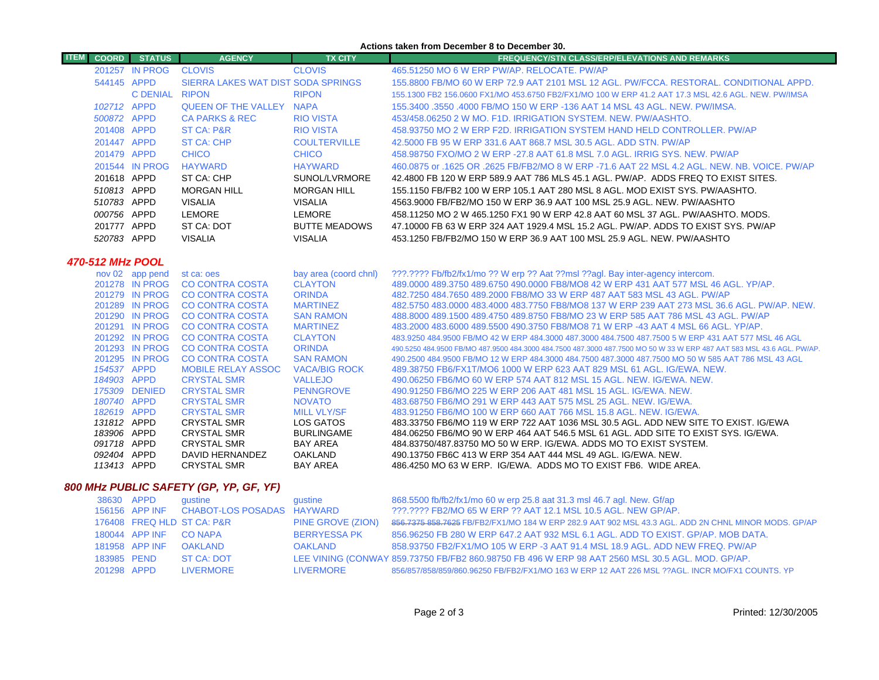## **Actions taken from December 8 to December 30.**

| <b>ITEM</b>                            | <b>COORD</b>     | <b>STATUS</b>                    | <b>AGENCY</b>                                    | <b>TX CITY</b>                    | <b>FREQUENCY/STN CLASS/ERP/ELEVATIONS AND REMARKS</b>                                                                                                                         |
|----------------------------------------|------------------|----------------------------------|--------------------------------------------------|-----------------------------------|-------------------------------------------------------------------------------------------------------------------------------------------------------------------------------|
|                                        |                  | 201257 IN PROG CLOVIS            |                                                  | <b>CLOVIS</b>                     | 465.51250 MO 6 W ERP PW/AP. RELOCATE. PW/AP                                                                                                                                   |
|                                        | 544145 APPD      |                                  | SIERRA LAKES WAT DIST SODA SPRINGS               |                                   | 155.8800 FB/MO 60 W ERP 72.9 AAT 2101 MSL 12 AGL. PW/FCCA. RESTORAL. CONDITIONAL APPD.                                                                                        |
|                                        |                  | C DENIAL RIPON                   |                                                  | <b>RIPON</b>                      | 155.1300 FB2 156.0600 FX1/MO 453.6750 FB2/FX1/MO 100 W ERP 41.2 AAT 17.3 MSL 42.6 AGL. NEW. PW/IMSA                                                                           |
|                                        | 102712 APPD      |                                  | <b>QUEEN OF THE VALLEY NAPA</b>                  |                                   | 155,3400 .3550 .4000 FB/MO 150 W ERP -136 AAT 14 MSL 43 AGL, NEW, PW/IMSA.                                                                                                    |
|                                        | 500872 APPD      |                                  | <b>CA PARKS &amp; REC</b>                        | <b>RIO VISTA</b>                  | 453/458.06250 2 W MO. F1D. IRRIGATION SYSTEM. NEW. PW/AASHTO.                                                                                                                 |
|                                        | 201408 APPD      |                                  | <b>ST CA: P&amp;R</b>                            | <b>RIO VISTA</b>                  | 458,93750 MO 2 W ERP F2D, IRRIGATION SYSTEM HAND HELD CONTROLLER, PW/AP                                                                                                       |
|                                        | 201447 APPD      |                                  | <b>ST CA: CHP</b>                                | <b>COULTERVILLE</b>               | 42.5000 FB 95 W ERP 331.6 AAT 868.7 MSL 30.5 AGL. ADD STN. PW/AP                                                                                                              |
|                                        | 201479 APPD      |                                  | <b>CHICO</b>                                     | <b>CHICO</b>                      | 458.98750 FXO/MO 2 W ERP -27.8 AAT 61.8 MSL 7.0 AGL. IRRIG SYS. NEW. PW/AP                                                                                                    |
|                                        |                  | 201544 IN PROG                   | <b>HAYWARD</b>                                   | <b>HAYWARD</b>                    | 460.0875 or .1625 OR .2625 FB/FB2/MO 8 W ERP -71.6 AAT 22 MSL 4.2 AGL, NEW, NB, VOICE, PW/AP                                                                                  |
|                                        | 201618 APPD      |                                  | ST CA: CHP                                       | SUNOL/LVRMORE                     | 42.4800 FB 120 W ERP 589.9 AAT 786 MLS 45.1 AGL, PW/AP. ADDS FREQ TO EXIST SITES.                                                                                             |
|                                        | 510813 APPD      |                                  | <b>MORGAN HILL</b>                               | <b>MORGAN HILL</b>                | 155.1150 FB/FB2 100 W ERP 105.1 AAT 280 MSL 8 AGL, MOD EXIST SYS, PW/AASHTO.                                                                                                  |
|                                        | 510783 APPD      |                                  | <b>VISALIA</b>                                   | <b>VISALIA</b>                    | 4563.9000 FB/FB2/MO 150 W ERP 36.9 AAT 100 MSL 25.9 AGL. NEW. PW/AASHTO                                                                                                       |
|                                        | 000756 APPD      |                                  | <b>LEMORE</b>                                    | <b>LEMORE</b>                     | 458.11250 MO 2 W 465.1250 FX1 90 W ERP 42.8 AAT 60 MSL 37 AGL. PW/AASHTO. MODS.                                                                                               |
|                                        | 201777 APPD      |                                  | ST CA: DOT                                       | <b>BUTTE MEADOWS</b>              | 47.10000 FB 63 W ERP 324 AAT 1929.4 MSL 15.2 AGL. PW/AP. ADDS TO EXIST SYS. PW/AP                                                                                             |
|                                        | 520783 APPD      |                                  | <b>VISALIA</b>                                   | <b>VISALIA</b>                    | 453.1250 FB/FB2/MO 150 W ERP 36.9 AAT 100 MSL 25.9 AGL. NEW. PW/AASHTO                                                                                                        |
|                                        |                  |                                  |                                                  |                                   |                                                                                                                                                                               |
|                                        | 470-512 MHz POOL |                                  |                                                  |                                   |                                                                                                                                                                               |
|                                        |                  | nov 02 app pend                  | st ca: oes                                       | bay area (coord chnl)             | ???.???? Fb/fb2/fx1/mo ?? W erp ?? Aat ??msl ??agl. Bay inter-agency intercom.                                                                                                |
|                                        |                  | 201278 IN PROG                   | <b>CO CONTRA COSTA</b>                           | <b>CLAYTON</b>                    | 489,0000 489,3750 489,6750 490,0000 FB8/MO8 42 W ERP 431 AAT 577 MSL 46 AGL, YP/AP,                                                                                           |
|                                        |                  |                                  | 201279 IN PROG CO CONTRA COSTA                   | <b>ORINDA</b>                     | 482,7250 484,7650 489,2000 FB8/MO 33 W ERP 487 AAT 583 MSL 43 AGL, PW/AP                                                                                                      |
|                                        |                  |                                  | 201289 IN PROG CO CONTRA COSTA                   | <b>MARTINEZ</b>                   | 482,5750 483,0000 483,4000 483,7750 FB8/MO8 137 W ERP 239 AAT 273 MSL 36.6 AGL, PW/AP, NEW,                                                                                   |
|                                        |                  |                                  | 201290 IN PROG CO CONTRA COSTA                   | <b>SAN RAMON</b>                  | 488,8000 489,1500 489,4750 489,8750 FB8/MO 23 W ERP 585 AAT 786 MSL 43 AGL, PW/AP                                                                                             |
|                                        |                  | 201291 IN PROG                   | <b>CO CONTRA COSTA</b>                           | <b>MARTINEZ</b>                   | 483,2000 483,6000 489,5500 490,3750 FB8/MO8 71 W ERP -43 AAT 4 MSL 66 AGL, YP/AP,                                                                                             |
|                                        |                  | 201292 IN PROG                   | <b>CO CONTRA COSTA</b>                           | <b>CLAYTON</b>                    | 483.9250 484.9500 FB/MO 42 W ERP 484.3000 487.3000 484.7500 487.7500 5 W ERP 431 AAT 577 MSL 46 AGL                                                                           |
|                                        |                  | 201293 IN PROG<br>201295 IN PROG | <b>CO CONTRA COSTA</b><br><b>CO CONTRA COSTA</b> | <b>ORINDA</b><br><b>SAN RAMON</b> | 490.5250 484.9500 FB/MO 487.9500 484.3000 484.7500 487.3000 487.7500 MO 50 W 33 W ERP 487 AAT 583 MSL 43.6 AGL. PW/AP.                                                        |
|                                        | 154537 APPD      |                                  | <b>MOBILE RELAY ASSOC</b>                        | <b>VACA/BIG ROCK</b>              | 490.2500 484.9500 FB/MO 12 W ERP 484.3000 484.7500 487.3000 487.7500 MO 50 W 585 AAT 786 MSL 43 AGL<br>489.38750 FB6/FX1T/MO6 1000 W ERP 623 AAT 829 MSL 61 AGL. IG/EWA. NEW. |
|                                        | 184903 APPD      |                                  | <b>CRYSTAL SMR</b>                               | <b>VALLEJO</b>                    | 490.06250 FB6/MO 60 W ERP 574 AAT 812 MSL 15 AGL. NEW. IG/EWA. NEW.                                                                                                           |
|                                        |                  | 175309 DENIED                    | <b>CRYSTAL SMR</b>                               | <b>PENNGROVE</b>                  | 490.91250 FB6/MO 225 W ERP 206 AAT 481 MSL 15 AGL. IG/EWA. NEW.                                                                                                               |
|                                        | 180740 APPD      |                                  | <b>CRYSTAL SMR</b>                               | <b>NOVATO</b>                     | 483.68750 FB6/MO 291 W ERP 443 AAT 575 MSL 25 AGL, NEW, IG/EWA.                                                                                                               |
|                                        | 182619 APPD      |                                  | <b>CRYSTAL SMR</b>                               | <b>MILL VLY/SF</b>                | 483.91250 FB6/MO 100 W ERP 660 AAT 766 MSL 15.8 AGL. NEW. IG/EWA.                                                                                                             |
|                                        | 131812 APPD      |                                  | <b>CRYSTAL SMR</b>                               | LOS GATOS                         | 483.33750 FB6/MO 119 W ERP 722 AAT 1036 MSL 30.5 AGL. ADD NEW SITE TO EXIST. IG/EWA                                                                                           |
|                                        | 183906 APPD      |                                  | <b>CRYSTAL SMR</b>                               | <b>BURLINGAME</b>                 | 484,06250 FB6/MO 90 W ERP 464 AAT 546.5 MSL 61 AGL, ADD SITE TO EXIST SYS, IG/EWA,                                                                                            |
|                                        | 091718 APPD      |                                  | <b>CRYSTAL SMR</b>                               | <b>BAY AREA</b>                   | 484.83750/487.83750 MO 50 W ERP. IG/EWA, ADDS MO TO EXIST SYSTEM.                                                                                                             |
|                                        | 092404 APPD      |                                  | DAVID HERNANDEZ                                  | <b>OAKLAND</b>                    | 490.13750 FB6C 413 W ERP 354 AAT 444 MSL 49 AGL. IG/EWA, NEW.                                                                                                                 |
|                                        | 113413 APPD      |                                  | <b>CRYSTAL SMR</b>                               | <b>BAY AREA</b>                   | 486.4250 MO 63 W ERP. IG/EWA. ADDS MO TO EXIST FB6. WIDE AREA.                                                                                                                |
| 800 MHz PUBLIC SAFETY (GP, YP, GF, YF) |                  |                                  |                                                  |                                   |                                                                                                                                                                               |
|                                        | 38630 APPD       |                                  | qustine                                          | qustine                           | 868.5500 fb/fb2/fx1/mo 60 w erp 25.8 aat 31.3 msl 46.7 agl. New. Gf/ap                                                                                                        |
|                                        |                  | 156156 APP INF                   | <b>CHABOT-LOS POSADAS HAYWARD</b>                |                                   | ???.???? FB2/MO 65 W ERP ?? AAT 12.1 MSL 10.5 AGL. NEW GP/AP.                                                                                                                 |
|                                        |                  |                                  |                                                  |                                   |                                                                                                                                                                               |

|             | $\sim$ $\sim$ $\sim$ $\sim$ $\sim$ $\sim$ $\sim$ | guvuno                                    | <b>GUULIU</b>       | <b>POULD UP IN THE IN THIS OUT OF HIS LOTS GUT OTTO THEIR TOTT AGE.</b> THOIR CHAP                  |
|-------------|--------------------------------------------------|-------------------------------------------|---------------------|-----------------------------------------------------------------------------------------------------|
|             |                                                  | 156156 APP INF CHABOT-LOS POSADAS HAYWARD |                     | ???.???? FB2/MO 65 W ERP ?? AAT 12.1 MSL 10.5 AGL. NEW GP/AP.                                       |
|             |                                                  | 176408 FREQ HLD ST CA: P&R                | PINE GROVE (ZION)   | 856.7375 858.7625 FB/FB2/FX1/MO 184 W ERP 282.9 AAT 902 MSL 43.3 AGL. ADD 2N CHNL MINOR MODS. GP/AP |
|             | 180044 APP INF                                   | CO NAPA                                   | <b>BERRYESSA PK</b> | 856,96250 FB 280 W ERP 647.2 AAT 932 MSL 6.1 AGL, ADD TO EXIST, GP/AP, MOB DATA,                    |
|             | 181958 APP INF                                   | <b>OAKI AND</b>                           | <b>OAKLAND</b>      | 858,93750 FB2/FX1/MO 105 W ERP -3 AAT 91.4 MSL 18.9 AGL. ADD NEW FREQ. PW/AP                        |
| 183985 PEND |                                                  | <b>ST CA: DOT</b>                         |                     | LEE VINING (CONWAY 859.73750 FB/FB2 860.98750 FB 496 W ERP 98 AAT 2560 MSL 30.5 AGL. MOD. GP/AP.    |
|             | 201298 APPD                                      | LIVERMORE                                 | LIVERMORE           | 856/857/858/859/860.96250 FB/FB2/FX1/MO 163 W ERP 12 AAT 226 MSL ??AGL. INCR MO/FX1 COUNTS, YP      |
|             |                                                  |                                           |                     |                                                                                                     |